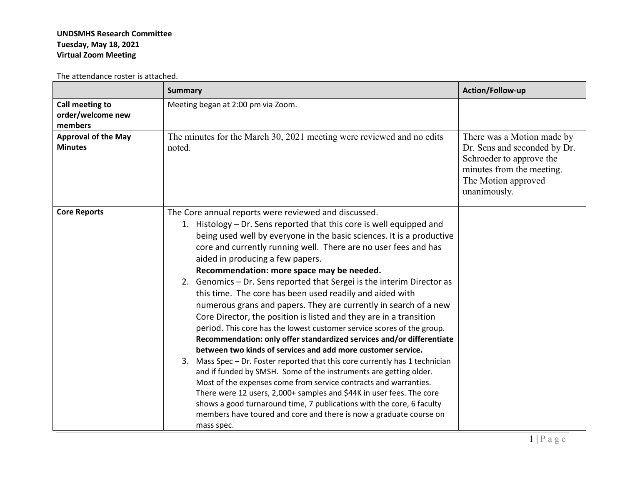## **UNDSMHS Research Committee Tuesday, May 18, 2021 Virtual Zoom Meeting**

The attendance roster is attached.

|                                                 | <b>Summary</b>                                                                                                                                                                                                                                                                                                                                                                                                                                                                                                                                                                                                                                                                                                                                                                                                                                                                                                                                                                                                                                                                                                                                                                                                                                                                                                             | Action/Follow-up                                                                                                                                           |
|-------------------------------------------------|----------------------------------------------------------------------------------------------------------------------------------------------------------------------------------------------------------------------------------------------------------------------------------------------------------------------------------------------------------------------------------------------------------------------------------------------------------------------------------------------------------------------------------------------------------------------------------------------------------------------------------------------------------------------------------------------------------------------------------------------------------------------------------------------------------------------------------------------------------------------------------------------------------------------------------------------------------------------------------------------------------------------------------------------------------------------------------------------------------------------------------------------------------------------------------------------------------------------------------------------------------------------------------------------------------------------------|------------------------------------------------------------------------------------------------------------------------------------------------------------|
| Call meeting to<br>order/welcome new<br>members | Meeting began at 2:00 pm via Zoom.                                                                                                                                                                                                                                                                                                                                                                                                                                                                                                                                                                                                                                                                                                                                                                                                                                                                                                                                                                                                                                                                                                                                                                                                                                                                                         |                                                                                                                                                            |
| <b>Approval of the May</b><br><b>Minutes</b>    | The minutes for the March 30, 2021 meeting were reviewed and no edits<br>noted.                                                                                                                                                                                                                                                                                                                                                                                                                                                                                                                                                                                                                                                                                                                                                                                                                                                                                                                                                                                                                                                                                                                                                                                                                                            | There was a Motion made by<br>Dr. Sens and seconded by Dr.<br>Schroeder to approve the<br>minutes from the meeting.<br>The Motion approved<br>unanimously. |
| <b>Core Reports</b>                             | The Core annual reports were reviewed and discussed.<br>1. Histology – Dr. Sens reported that this core is well equipped and<br>being used well by everyone in the basic sciences. It is a productive<br>core and currently running well. There are no user fees and has<br>aided in producing a few papers.<br>Recommendation: more space may be needed.<br>2. Genomics - Dr. Sens reported that Sergei is the interim Director as<br>this time. The core has been used readily and aided with<br>numerous grans and papers. They are currently in search of a new<br>Core Director, the position is listed and they are in a transition<br>period. This core has the lowest customer service scores of the group.<br>Recommendation: only offer standardized services and/or differentiate<br>between two kinds of services and add more customer service.<br>3. Mass Spec - Dr. Foster reported that this core currently has 1 technician<br>and if funded by SMSH. Some of the instruments are getting older.<br>Most of the expenses come from service contracts and warranties.<br>There were 12 users, 2,000+ samples and \$44K in user fees. The core<br>shows a good turnaround time, 7 publications with the core, 6 faculty<br>members have toured and core and there is now a graduate course on<br>mass spec. |                                                                                                                                                            |